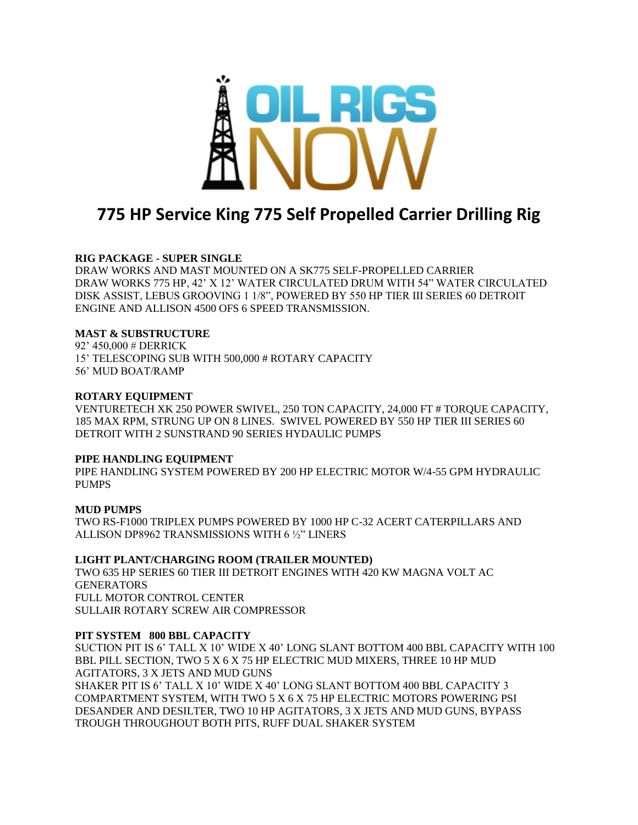

# **775 HP Service King 775 Self Propelled Carrier Drilling Rig**

## **RIG PACKAGE - SUPER SINGLE**

DRAW WORKS AND MAST MOUNTED ON A SK775 SELF-PROPELLED CARRIER DRAW WORKS 775 HP, 42' X 12' WATER CIRCULATED DRUM WITH 54" WATER CIRCULATED DISK ASSIST, LEBUS GROOVING 1 1/8", POWERED BY 550 HP TIER III SERIES 60 DETROIT ENGINE AND ALLISON 4500 OFS 6 SPEED TRANSMISSION.

## **MAST & SUBSTRUCTURE**

92' 450,000 # DERRICK 15' TELESCOPING SUB WITH 500,000 # ROTARY CAPACITY 56' MUD BOAT/RAMP

## **ROTARY EQUIPMENT**

VENTURETECH XK 250 POWER SWIVEL, 250 TON CAPACITY, 24,000 FT # TORQUE CAPACITY, 185 MAX RPM, STRUNG UP ON 8 LINES. SWIVEL POWERED BY 550 HP TIER III SERIES 60 DETROIT WITH 2 SUNSTRAND 90 SERIES HYDAULIC PUMPS

## **PIPE HANDLING EQUIPMENT**

PIPE HANDLING SYSTEM POWERED BY 200 HP ELECTRIC MOTOR W/4-55 GPM HYDRAULIC PUMPS

## **MUD PUMPS**

TWO RS-F1000 TRIPLEX PUMPS POWERED BY 1000 HP C-32 ACERT CATERPILLARS AND ALLISON DP8962 TRANSMISSIONS WITH 6 ½" LINERS

## **LIGHT PLANT/CHARGING ROOM (TRAILER MOUNTED)**

TWO 635 HP SERIES 60 TIER III DETROIT ENGINES WITH 420 KW MAGNA VOLT AC **GENERATORS** FULL MOTOR CONTROL CENTER SULLAIR ROTARY SCREW AIR COMPRESSOR

## **PIT SYSTEM 800 BBL CAPACITY**

SUCTION PIT IS 6' TALL X 10' WIDE X 40' LONG SLANT BOTTOM 400 BBL CAPACITY WITH 100 BBL PILL SECTION, TWO 5 X 6 X 75 HP ELECTRIC MUD MIXERS, THREE 10 HP MUD AGITATORS, 3 X JETS AND MUD GUNS

SHAKER PIT IS 6' TALL X 10' WIDE X 40' LONG SLANT BOTTOM 400 BBL CAPACITY 3 COMPARTMENT SYSTEM, WITH TWO 5 X 6 X 75 HP ELECTRIC MOTORS POWERING PSI DESANDER AND DESILTER, TWO 10 HP AGITATORS, 3 X JETS AND MUD GUNS, BYPASS TROUGH THROUGHOUT BOTH PITS, RUFF DUAL SHAKER SYSTEM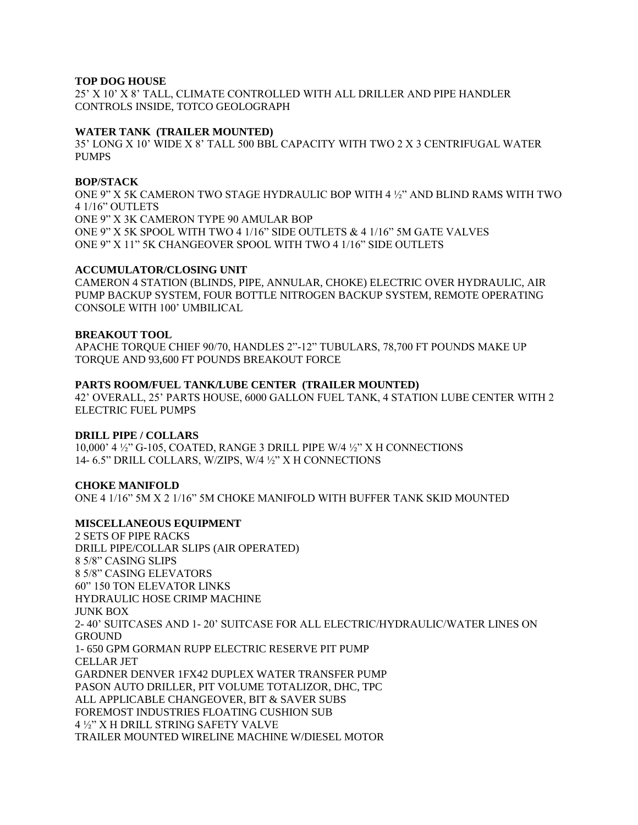## **TOP DOG HOUSE**

25' X 10' X 8' TALL, CLIMATE CONTROLLED WITH ALL DRILLER AND PIPE HANDLER CONTROLS INSIDE, TOTCO GEOLOGRAPH

#### **WATER TANK (TRAILER MOUNTED)**

35' LONG X 10' WIDE X 8' TALL 500 BBL CAPACITY WITH TWO 2 X 3 CENTRIFUGAL WATER PUMPS

#### **BOP/STACK**

ONE 9" X 5K CAMERON TWO STAGE HYDRAULIC BOP WITH 4 ½" AND BLIND RAMS WITH TWO 4 1/16" OUTLETS ONE 9" X 3K CAMERON TYPE 90 AMULAR BOP ONE 9" X 5K SPOOL WITH TWO 4 1/16" SIDE OUTLETS & 4 1/16" 5M GATE VALVES ONE 9" X 11" 5K CHANGEOVER SPOOL WITH TWO 4 1/16" SIDE OUTLETS

#### **ACCUMULATOR/CLOSING UNIT**

CAMERON 4 STATION (BLINDS, PIPE, ANNULAR, CHOKE) ELECTRIC OVER HYDRAULIC, AIR PUMP BACKUP SYSTEM, FOUR BOTTLE NITROGEN BACKUP SYSTEM, REMOTE OPERATING CONSOLE WITH 100' UMBILICAL

## **BREAKOUT TOOL**

APACHE TORQUE CHIEF 90/70, HANDLES 2"-12" TUBULARS, 78,700 FT POUNDS MAKE UP TORQUE AND 93,600 FT POUNDS BREAKOUT FORCE

#### **PARTS ROOM/FUEL TANK/LUBE CENTER (TRAILER MOUNTED)**

42' OVERALL, 25' PARTS HOUSE, 6000 GALLON FUEL TANK, 4 STATION LUBE CENTER WITH 2 ELECTRIC FUEL PUMPS

#### **DRILL PIPE / COLLARS**

10,000' 4 ½" G-105, COATED, RANGE 3 DRILL PIPE W/4 ½" X H CONNECTIONS 14- 6.5" DRILL COLLARS, W/ZIPS, W/4 ½" X H CONNECTIONS

#### **CHOKE MANIFOLD**

ONE 4 1/16" 5M X 2 1/16" 5M CHOKE MANIFOLD WITH BUFFER TANK SKID MOUNTED

## **MISCELLANEOUS EQUIPMENT**

2 SETS OF PIPE RACKS DRILL PIPE/COLLAR SLIPS (AIR OPERATED) 8 5/8" CASING SLIPS 8 5/8" CASING ELEVATORS 60" 150 TON ELEVATOR LINKS HYDRAULIC HOSE CRIMP MACHINE JUNK BOX 2- 40' SUITCASES AND 1- 20' SUITCASE FOR ALL ELECTRIC/HYDRAULIC/WATER LINES ON **GROUND** 1- 650 GPM GORMAN RUPP ELECTRIC RESERVE PIT PUMP CELLAR JET GARDNER DENVER 1FX42 DUPLEX WATER TRANSFER PUMP PASON AUTO DRILLER, PIT VOLUME TOTALIZOR, DHC, TPC ALL APPLICABLE CHANGEOVER, BIT & SAVER SUBS FOREMOST INDUSTRIES FLOATING CUSHION SUB 4 ½" X H DRILL STRING SAFETY VALVE TRAILER MOUNTED WIRELINE MACHINE W/DIESEL MOTOR